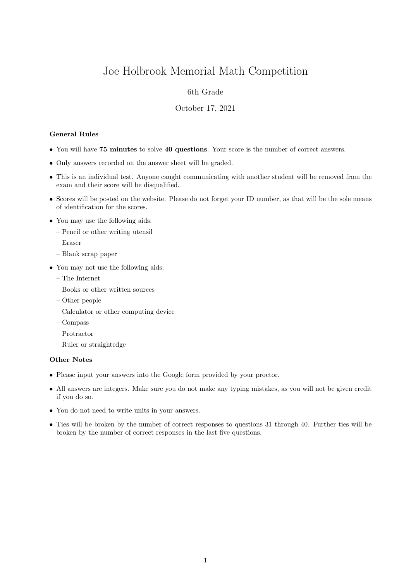# Joe Holbrook Memorial Math Competition

## 6th Grade

#### October 17, 2021

### General Rules

- You will have 75 minutes to solve 40 questions. Your score is the number of correct answers.
- Only answers recorded on the answer sheet will be graded.
- This is an individual test. Anyone caught communicating with another student will be removed from the exam and their score will be disqualified.
- Scores will be posted on the website. Please do not forget your ID number, as that will be the sole means of identification for the scores.
- You may use the following aids:
	- Pencil or other writing utensil
	- Eraser
	- Blank scrap paper
- You may not use the following aids:
	- The Internet
	- Books or other written sources
	- Other people
	- Calculator or other computing device
	- Compass
	- Protractor
	- Ruler or straightedge

#### Other Notes

- Please input your answers into the Google form provided by your proctor.
- All answers are integers. Make sure you do not make any typing mistakes, as you will not be given credit if you do so.
- You do not need to write units in your answers.
- Ties will be broken by the number of correct responses to questions 31 through 40. Further ties will be broken by the number of correct responses in the last five questions.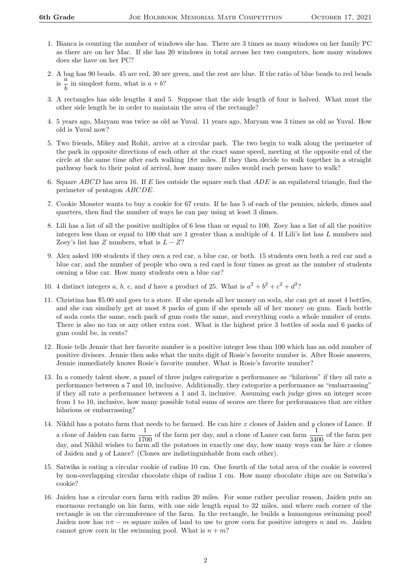- 1. Bianca is counting the number of windows she has. There are 3 times as many windows on her family PC as there are on her Mac. If she has 20 windows in total across her two computers, how many windows does she have on her PC?
- 2. A bag has 90 beads. 45 are red, 30 are green, and the rest are blue. If the ratio of blue beads to red beads  $\frac{a}{\text{is}} \frac{a}{\tau}$  $\frac{a}{b}$  in simplest form, what is  $a + b$ ?
- 3. A rectangles has side lengths 4 and 5. Suppose that the side length of four is halved. What must the other side length be in order to maintain the area of the rectangle?
- 4. 5 years ago, Maryam was twice as old as Yuval. 11 years ago, Maryam was 3 times as old as Yuval. How old is Yuval now?
- 5. Two friends, Mikey and Rohit, arrive at a circular park. The two begin to walk along the perimeter of the park in opposite directions of each other at the exact same speed, meeting at the opposite end of the circle at the same time after each walking  $18\pi$  miles. If they then decide to walk together in a straight pathway back to their point of arrival, how many more miles would each person have to walk?
- 6. Square ABCD has area 16. If E lies outside the square such that  $ADE$  is an equilateral triangle, find the perimeter of pentagon ABCDE.
- 7. Cookie Monster wants to buy a cookie for 67 cents. If he has 5 of each of the pennies, nickels, dimes and quarters, then find the number of ways he can pay using at least 3 dimes.
- 8. Lili has a list of all the positive multiples of 6 less than or equal to 100. Zoey has a list of all the positive integers less than or equal to 100 that are 1 greater than a multiple of 4. If Lili's list has L numbers and Zoey's list has Z numbers, what is  $L - Z$ ?
- 9. Alex asked 100 students if they own a red car, a blue car, or both. 15 students own both a red car and a blue car, and the number of people who own a red card is four times as great as the number of students owning a blue car. How many students own a blue car?
- 10. 4 distinct integers a, b, c, and d have a product of 25. What is  $a^2 + b^2 + c^2 + d^2$ ?
- 11. Christina has \$5.00 and goes to a store. If she spends all her money on soda, she can get at most 4 bottles, and she can similarly get at most 8 packs of gum if she spends all of her money on gum. Each bottle of soda costs the same, each pack of gum costs the same, and everything costs a whole number of cents. There is also no tax or any other extra cost. What is the highest price 3 bottles of soda and 6 packs of gum could be, in cents?
- 12. Rosie tells Jennie that her favorite number is a positive integer less than 100 which has an odd number of positive divisors. Jennie then asks what the units digit of Rosie's favorite number is. After Rosie answers, Jennie immediately knows Rosie's favorite number. What is Rosie's favorite number?
- 13. In a comedy talent show, a panel of three judges categorize a performance as "hilarious" if they all rate a performance between a 7 and 10, inclusive. Additionally, they categorize a performance as "embarrassing" if they all rate a performance between a 1 and 3, inclusive. Assuming each judge gives an integer score from 1 to 10, inclusive, how many possible total sums of scores are there for performances that are either hilarious or embarrassing?
- 14. Nikhil has a potato farm that needs to be farmed. He can hire x clones of Jaiden and y clones of Lance. If a clone of Jaiden can farm  $\frac{1}{1700}$  of the farm per day, and a clone of Lance can farm  $\frac{1}{3400}$  of the farm per day, and Nikhil wishes to farm all the potatoes in exactly one day, how many ways can he hire x clones of Jaiden and y of Lance? (Clones are indistinguishable from each other).
- 15. Satwika is eating a circular cookie of radius 10 cm. One fourth of the total area of the cookie is covered by non-overlapping circular chocolate chips of radius 1 cm. How many chocolate chips are on Satwika's cookie?
- 16. Jaiden has a circular corn farm with radius 20 miles. For some rather peculiar reason, Jaiden puts an enormous rectangle on his farm, with one side length equal to 32 miles, and where each corner of the rectangle is on the circumference of the farm. In the rectangle, he builds a humongous swimming pool! Jaiden now has  $n\pi - m$  square miles of land to use to grow corn for positive integers n and m. Jaiden cannot grow corn in the swimming pool. What is  $n + m$ ?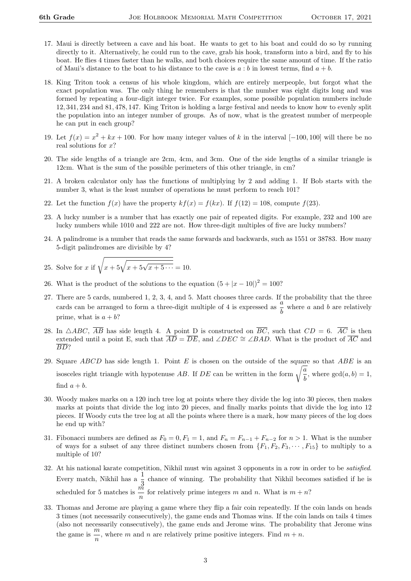- 17. Maui is directly between a cave and his boat. He wants to get to his boat and could do so by running directly to it. Alternatively, he could run to the cave, grab his hook, transform into a bird, and fly to his boat. He flies 4 times faster than he walks, and both choices require the same amount of time. If the ratio of Maui's distance to the boat to his distance to the cave is  $a:b$  in lowest terms, find  $a+b$ .
- 18. King Triton took a census of his whole kingdom, which are entirely merpeople, but forgot what the exact population was. The only thing he remembers is that the number was eight digits long and was formed by repeating a four-digit integer twice. For examples, some possible population numbers include 12, 341, 234 and 81, 478, 147. King Triton is holding a large festival and needs to know how to evenly split the population into an integer number of groups. As of now, what is the greatest number of merpeople he can put in each group?
- 19. Let  $f(x) = x^2 + kx + 100$ . For how many integer values of k in the interval [−100, 100] will there be no real solutions for  $x$ ?
- 20. The side lengths of a triangle are 2cm, 4cm, and 3cm. One of the side lengths of a similar triangle is 12cm. What is the sum of the possible perimeters of this other triangle, in cm?
- 21. A broken calculator only has the functions of multiplying by 2 and adding 1. If Bob starts with the number 3, what is the least number of operations he must perform to reach 101?
- 22. Let the function  $f(x)$  have the property  $kf(x) = f(kx)$ . If  $f(12) = 108$ , compute  $f(23)$ .
- 23. A lucky number is a number that has exactly one pair of repeated digits. For example, 232 and 100 are lucky numbers while 1010 and 222 are not. How three-digit multiples of five are lucky numbers?
- 24. A palindrome is a number that reads the same forwards and backwards, such as 1551 or 38783. How many 5-digit palindromes are divisible by 4?

25. Solve for *x* if 
$$
\sqrt{x + 5\sqrt{x + 5\cdots}} = 10
$$
.

- 26. What is the product of the solutions to the equation  $(5 + |x 10|)^2 = 100$ ?
- 27. There are 5 cards, numbered 1, 2, 3, 4, and 5. Matt chooses three cards. If the probability that the three cards can be arranged to form a three-digit multiple of 4 is expressed as  $\frac{a}{b}$  where a and b are relatively prime, what is  $a + b$ ?
- 28. In  $\triangle ABC$ ,  $\overline{AB}$  has side length 4. A point D is constructed on  $\overline{BC}$ , such that  $CD = 6$ .  $\overline{AC}$  is then extended until a point E, such that  $\overline{AD} = \overline{DE}$ , and ∠DEC  $\cong \angle BAD$ . What is the product of  $\overline{AC}$  and BD?
- 29. Square ABCD has side length 1. Point  $E$  is chosen on the outside of the square so that ABE is an isosceles right triangle with hypotenuse AB. If DE can be written in the form  $\sqrt{\frac{a}{\hbar}}$  $\frac{a}{b}$ , where  $gcd(a, b) = 1$ , find  $a + b$ .
- 30. Woody makes marks on a 120 inch tree log at points where they divide the log into 30 pieces, then makes marks at points that divide the log into 20 pieces, and finally marks points that divide the log into 12 pieces. If Woody cuts the tree log at all the points where there is a mark, how many pieces of the log does he end up with?
- 31. Fibonacci numbers are defined as  $F_0 = 0, F_1 = 1$ , and  $F_n = F_{n-1} + F_{n-2}$  for  $n > 1$ . What is the number of ways for a subset of any three distinct numbers chosen from  ${F_1, F_2, F_3, \cdots, F_{15}}$  to multiply to a multiple of 10?
- 32. At his national karate competition, Nikhil must win against 3 opponents in a row in order to be satisfied. Every match, Nikhil has  $a \frac{1}{3}$  chance of winning. The probability that Nikhil becomes satisfied if he is scheduled for 5 matches is  $\frac{m}{n}$  for relatively prime integers m and n. What is  $m + n$ ?
- 33. Thomas and Jerome are playing a game where they flip a fair coin repeatedly. If the coin lands on heads 3 times (not necessarily consecutively), the game ends and Thomas wins. If the coin lands on tails 4 times (also not necessarily consecutively), the game ends and Jerome wins. The probability that Jerome wins the game is  $\frac{m}{n}$ , where m and n are relatively prime positive integers. Find  $m + n$ .